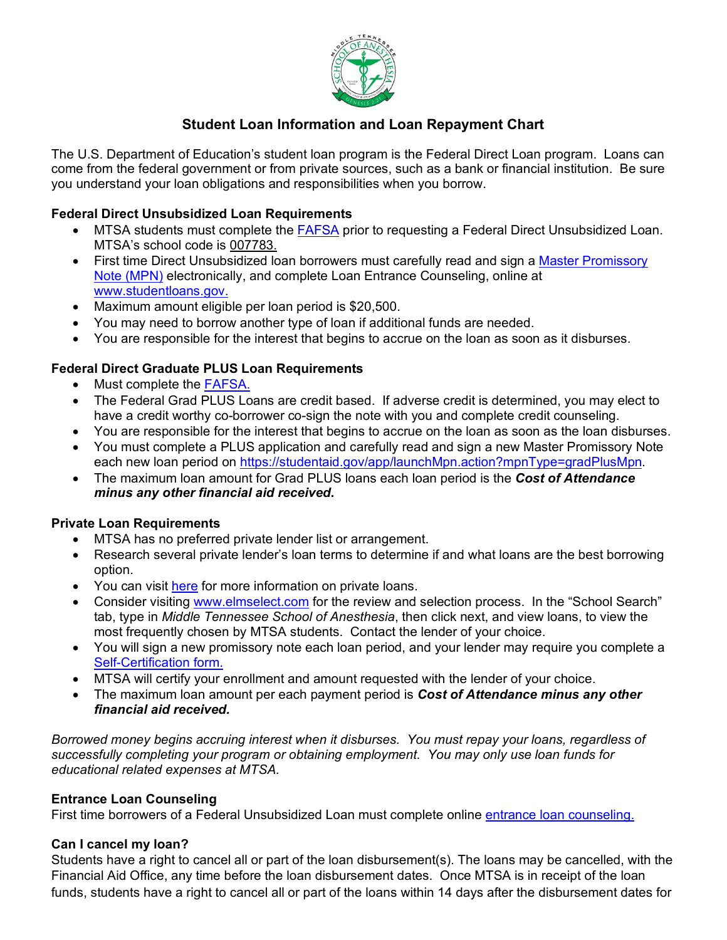

# **Student Loan Information and Loan Repayment Chart**

The U.S. Department of Education's student loan program is the Federal Direct Loan program. Loans can come from the federal government or from private sources, such as a bank or financial institution. Be sure you understand your loan obligations and responsibilities when you borrow.

# **Federal Direct Unsubsidized Loan Requirements**

- MTSA students must complete the [FAFSA](http://www.fafsa.gov/) prior to requesting a Federal Direct Unsubsidized Loan. MTSA's school code is 007783.
- First time Direct Unsubsidized loan borrowers must carefully read and sign a Master Promissory [Note \(MPN\)](https://studentaid.gov/mpn/grad/landing) electronically, and complete Loan Entrance Counseling, online at [www.studentloans.gov.](https://studentaid.gov/app/counselingInstructions.action?counselingType=entrance)
- Maximum amount eligible per loan period is \$20,500.
- You may need to borrow another type of loan if additional funds are needed.
- You are responsible for the interest that begins to accrue on the loan as soon as it disburses.

# **Federal Direct Graduate PLUS Loan Requirements**

- Must complete the [FAFSA.](http://www.fafsa.gov/)
- The Federal Grad PLUS Loans are credit based. If adverse credit is determined, you may elect to have a credit worthy co-borrower co-sign the note with you and complete credit counseling.
- You are responsible for the interest that begins to accrue on the loan as soon as the loan disburses.
- You must complete a PLUS application and carefully read and sign a new Master Promissory Note each new loan period on [https://studentaid.gov/app/launchMpn.action?mpnType=gradPlusMpn.](https://studentaid.gov/app/launchMpn.action?mpnType=gradPlusMpn)
- The maximum loan amount for Grad PLUS loans each loan period is the *Cost of Attendance minus any other financial aid received***.**

# **Private Loan Requirements**

- MTSA has no preferred private lender list or arrangement.
- Research several private lender's loan terms to determine if and what loans are the best borrowing option.
- You can visit [here](http://www.finaid.org/loans/privatestudentloans.phtml) for more information on private loans.
- Consider visiting [www.elmselect.com](http://www.elmselect.com/) for the review and selection process. In the "School Search" tab, type in *Middle Tennessee School of Anesthesia*, then click next, and view loans, to view the most frequently chosen by MTSA students. Contact the lender of your choice.
- You will sign a new promissory note each loan period, and your lender may require you complete a [Self-Certification form.](https://mtsa.edu/wp-content/uploads/2020/02/1.13.20-Self-Certification-Form-for-Private-loans.pdf)
- MTSA will certify your enrollment and amount requested with the lender of your choice.
- The maximum loan amount per each payment period is *Cost of Attendance minus any other financial aid received.*

*Borrowed money begins accruing interest when it disburses. You must repay your loans, regardless of successfully completing your program or obtaining employment. You may only use loan funds for educational related expenses at MTSA.*

# **Entrance Loan Counseling**

First time borrowers of a Federal Unsubsidized Loan must complete online [entrance loan counseling.](https://studentaid.gov/app/counselingInstructions.action?counselingType=entrance) 

# **Can I cancel my loan?**

Students have a right to cancel all or part of the loan disbursement(s). The loans may be cancelled, with the Financial Aid Office, any time before the loan disbursement dates. Once MTSA is in receipt of the loan funds, students have a right to cancel all or part of the loans within 14 days after the disbursement dates for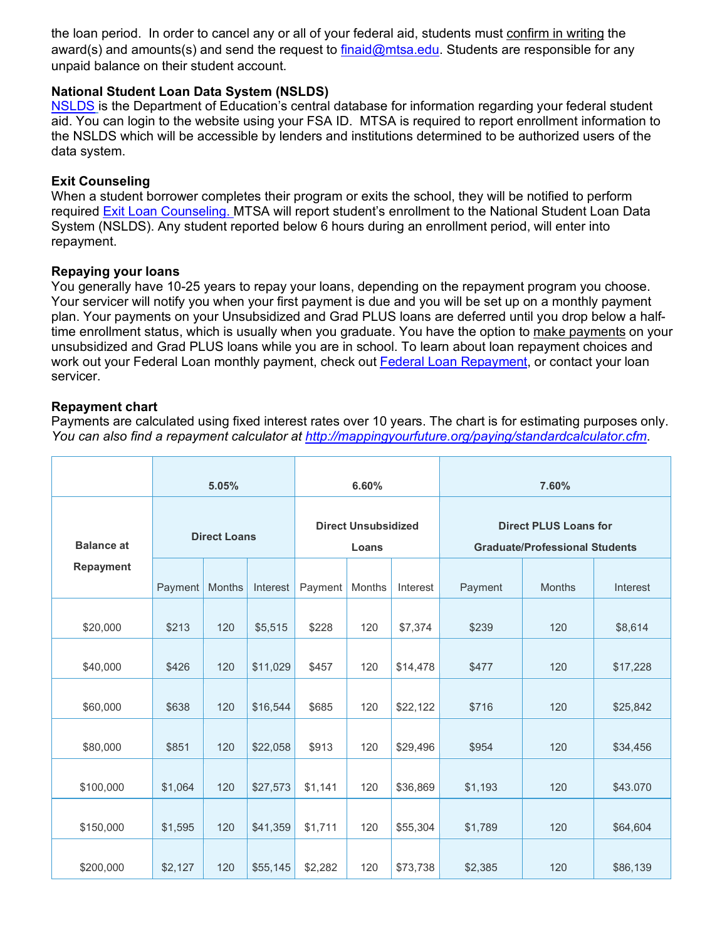the loan period. In order to cancel any or all of your federal aid, students must confirm in writing the award(s) and amounts(s) and send the request to [finaid@mtsa.edu.](mailto:finaid@mtsa.edu) Students are responsible for any unpaid balance on their student account.

## **National Student Loan Data System (NSLDS)**

[NSLDS](https://nslds.ed.gov/nslds/nslds_SA/) is the Department of Education's central database for information regarding your federal student aid. You can login to the website using your FSA ID. MTSA is required to report enrollment information to the NSLDS which will be accessible by lenders and institutions determined to be authorized users of the data system.

## **Exit Counseling**

When a student borrower completes their program or exits the school, they will be notified to perform required [Exit Loan Counseling.](https://studentaid.gov/app/counselingInstructions.action?counselingType=exit) MTSA will report student's enrollment to the National Student Loan Data System (NSLDS). Any student reported below 6 hours during an enrollment period, will enter into repayment.

### **Repaying your loans**

You generally have 10-25 years to repay your loans, depending on the repayment program you choose. Your servicer will notify you when your first payment is due and you will be set up on a monthly payment plan. Your payments on your Unsubsidized and Grad PLUS loans are deferred until you drop below a halftime enrollment status, which is usually when you graduate. You have the option to make payments on your unsubsidized and Grad PLUS loans while you are in school. To learn about loan repayment choices and work out your Federal Loan monthly payment, check out [Federal](https://studentaid.gov/help-center/answers/article/which-federal-student-loan-repayment-plans-am-i-eligible-for-and-can-i-estimate-payments) Loan Repayment, or contact your loan servicer.

## **Repayment chart**

Payments are calculated using fixed interest rates over 10 years. The chart is for estimating purposes only. *You can also find a repayment calculator at<http://mappingyourfuture.org/paying/standardcalculator.cfm>*.

|                   | 5.05%               |        |          | 6.60%                               |               |          | 7.60%                                                                 |               |          |
|-------------------|---------------------|--------|----------|-------------------------------------|---------------|----------|-----------------------------------------------------------------------|---------------|----------|
| <b>Balance at</b> | <b>Direct Loans</b> |        |          | <b>Direct Unsubsidized</b><br>Loans |               |          | <b>Direct PLUS Loans for</b><br><b>Graduate/Professional Students</b> |               |          |
| <b>Repayment</b>  | Payment             | Months | Interest | Payment                             | <b>Months</b> | Interest | Payment                                                               | <b>Months</b> | Interest |
| \$20,000          | \$213               | 120    | \$5,515  | \$228                               | 120           | \$7,374  | \$239                                                                 | 120           | \$8,614  |
| \$40,000          | \$426               | 120    | \$11,029 | \$457                               | 120           | \$14,478 | \$477                                                                 | 120           | \$17,228 |
| \$60,000          | \$638               | 120    | \$16,544 | \$685                               | 120           | \$22,122 | \$716                                                                 | 120           | \$25,842 |
| \$80,000          | \$851               | 120    | \$22,058 | \$913                               | 120           | \$29,496 | \$954                                                                 | 120           | \$34,456 |
| \$100,000         | \$1,064             | 120    | \$27,573 | \$1,141                             | 120           | \$36,869 | \$1,193                                                               | 120           | \$43.070 |
| \$150,000         | \$1,595             | 120    | \$41,359 | \$1,711                             | 120           | \$55,304 | \$1,789                                                               | 120           | \$64,604 |
| \$200,000         | \$2,127             | 120    | \$55,145 | \$2,282                             | 120           | \$73,738 | \$2,385                                                               | 120           | \$86,139 |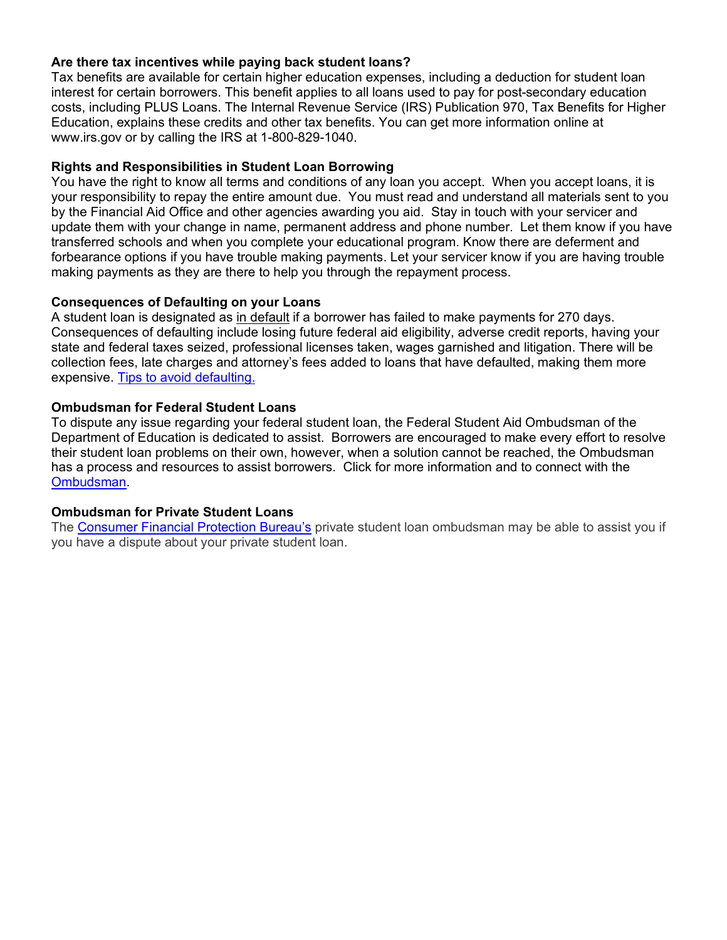### **Are there tax incentives while paying back student loans?**

Tax benefits are available for certain higher education expenses, including a deduction for student loan interest for certain borrowers. This benefit applies to all loans used to pay for post-secondary education costs, including PLUS Loans. The Internal Revenue Service (IRS) Publication 970, Tax Benefits for Higher Education, explains these credits and other tax benefits. You can get more information online at www.irs.gov or by calling the IRS at 1-800-829-1040.

#### **Rights and Responsibilities in Student Loan Borrowing**

You have the right to know all terms and conditions of any loan you accept. When you accept loans, it is your responsibility to repay the entire amount due. You must read and understand all materials sent to you by the Financial Aid Office and other agencies awarding you aid. Stay in touch with your servicer and update them with your change in name, permanent address and phone number. Let them know if you have transferred schools and when you complete your educational program. Know there are deferment and forbearance options if you have trouble making payments. Let your servicer know if you are having trouble making payments as they are there to help you through the repayment process.

#### **Consequences of Defaulting on your Loans**

A student loan is designated as in default if a borrower has failed to make payments for 270 days. Consequences of defaulting include losing future federal aid eligibility, adverse credit reports, having your state and federal taxes seized, professional licenses taken, wages garnished and litigation. There will be collection fees, late charges and attorney's fees added to loans that have defaulted, making them more expensive. [Tips to avoid defaulting.](https://studentaid.ed.gov/sa/repay-loans/default/avoid)

#### **Ombudsman for Federal Student Loans**

To dispute any issue regarding your federal student loan, the Federal Student Aid Ombudsman of the Department of Education is dedicated to assist. Borrowers are encouraged to make every effort to resolve their student loan problems on their own, however, when a solution cannot be reached, the Ombudsman has a process and resources to assist borrowers. Click for more information and to connect with the [Ombudsman.](https://studentaid.ed.gov/sa/repay-loans/disputes/prepare)

#### **Ombudsman for Private Student Loans**

The [Consumer Financial Protection Bureau's](http://www.consumerfinance.gov/cfpb-ombudsman/) private student loan ombudsman may be able to assist you if you have a dispute about your private student loan.